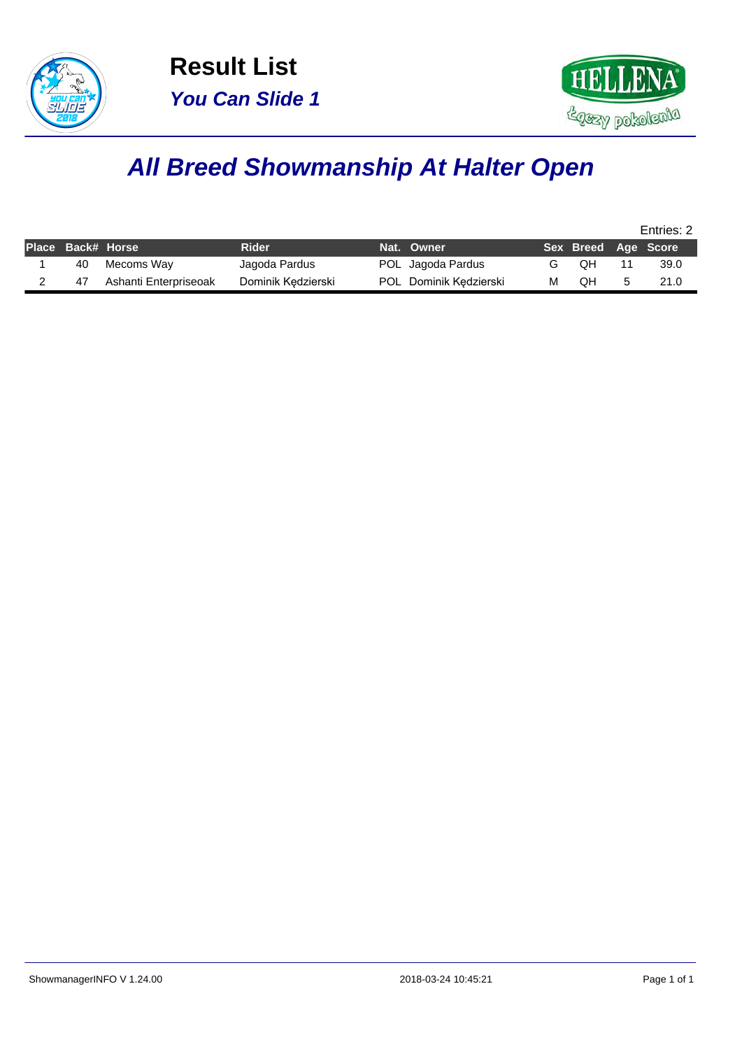



## **All Breed Showmanship At Halter Open**

|                   |                       |                    |                        |   |                     | Entries: 2 |
|-------------------|-----------------------|--------------------|------------------------|---|---------------------|------------|
| Place Back# Horse |                       | <b>Rider</b>       | Nat. Owner             |   | Sex Breed Age Score |            |
| 40                | Mecoms Way            | Jagoda Pardus      | POL Jagoda Pardus      |   | QН                  | 39.0       |
| 47                | Ashanti Enterpriseoak | Dominik Kedzierski | POL Dominik Kedzierski | м | OΗ                  | 21.0       |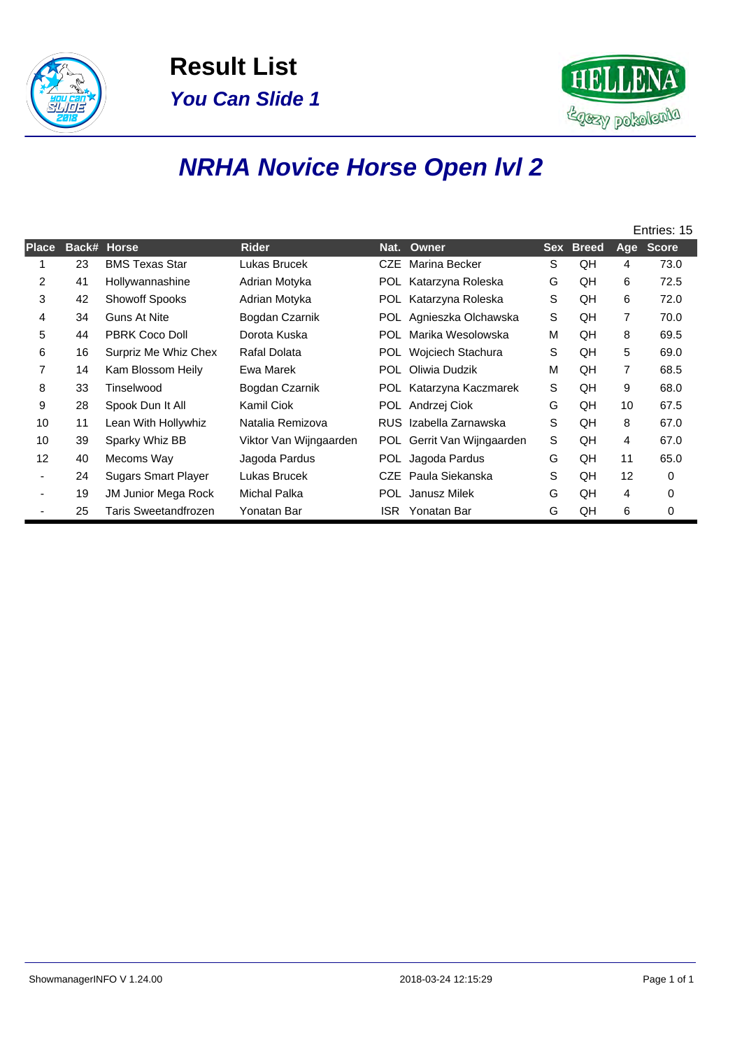



# **NRHA Novice Horse Open lvl 2**

|              |    |                            |                        |      |                            |   |           |                | Entries: 15 |
|--------------|----|----------------------------|------------------------|------|----------------------------|---|-----------|----------------|-------------|
| <b>Place</b> |    | Back# Horse                | <b>Rider</b>           |      | Nat. Owner                 |   | Sex Breed |                | Age Score   |
|              | 23 | <b>BMS Texas Star</b>      | Lukas Brucek           | CZE. | Marina Becker              | S | QH        | 4              | 73.0        |
| 2            | 41 | Hollywannashine            | Adrian Motyka          |      | POL Katarzyna Roleska      | G | QH        | 6              | 72.5        |
| 3            | 42 | <b>Showoff Spooks</b>      | Adrian Motyka          |      | POL Katarzyna Roleska      | S | QH        | 6              | 72.0        |
| 4            | 34 | <b>Guns At Nite</b>        | Bogdan Czarnik         |      | POL Agnieszka Olchawska    | S | QH        | $\overline{7}$ | 70.0        |
| 5            | 44 | PBRK Coco Doll             | Dorota Kuska           | POL. | Marika Wesolowska          | M | QH        | 8              | 69.5        |
| 6            | 16 | Surpriz Me Whiz Chex       | Rafal Dolata           | POL. | Wojciech Stachura          | S | QH        | 5              | 69.0        |
| 7            | 14 | Kam Blossom Heily          | Ewa Marek              | POL. | Oliwia Dudzik              | M | QH        | $\overline{7}$ | 68.5        |
| 8            | 33 | Tinselwood                 | Bogdan Czarnik         |      | POL Katarzyna Kaczmarek    | S | QH        | 9              | 68.0        |
| 9            | 28 | Spook Dun It All           | Kamil Ciok             |      | POL Andrzej Ciok           | G | QH        | 10             | 67.5        |
| 10           | 11 | Lean With Hollywhiz        | Natalia Remizova       |      | RUS Izabella Zarnawska     | S | QH        | 8              | 67.0        |
| 10           | 39 | Sparky Whiz BB             | Viktor Van Wijngaarden |      | POL Gerrit Van Wijngaarden | S | QH        | 4              | 67.0        |
| 12           | 40 | Mecoms Way                 | Jagoda Pardus          |      | POL Jagoda Pardus          | G | QH        | 11             | 65.0        |
|              | 24 | <b>Sugars Smart Player</b> | Lukas Brucek           | CZE. | Paula Siekanska            | S | QH        | 12             | 0           |
|              | 19 | <b>JM Junior Mega Rock</b> | Michal Palka           | POL  | Janusz Milek               | G | QH        | 4              | 0           |
|              | 25 | Taris Sweetandfrozen       | Yonatan Bar            | ISR. | Yonatan Bar                | G | QH        | 6              | 0           |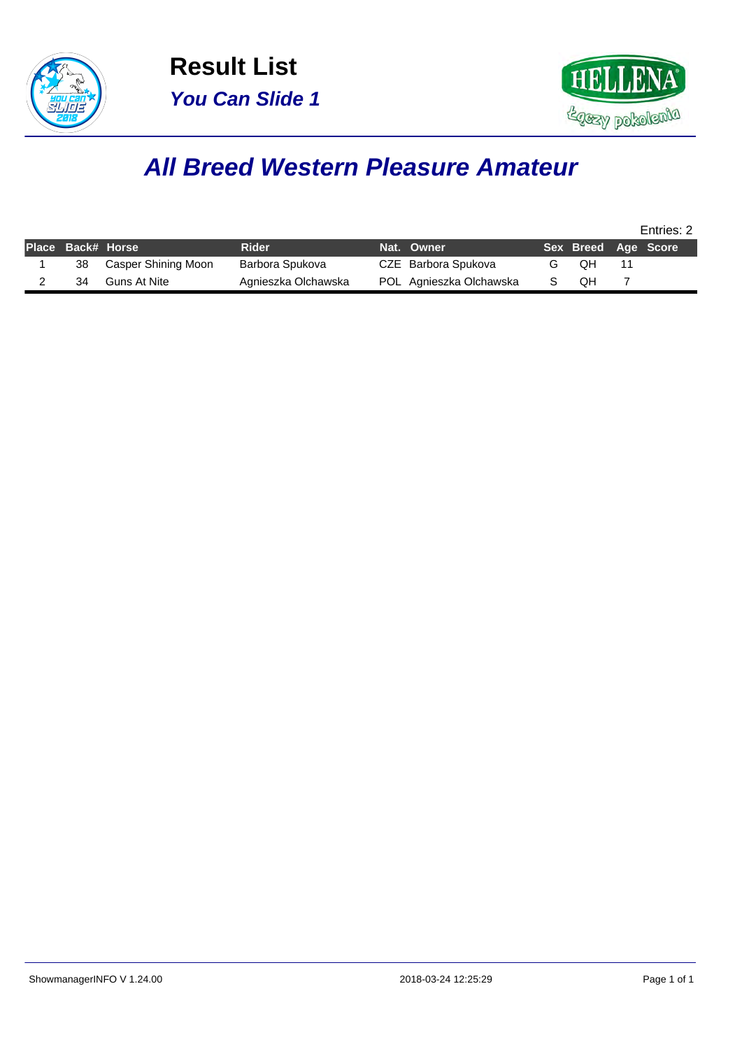



#### **All Breed Western Pleasure Amateur**

|                   |                     |                     |                         |                     | Entries: 2 |
|-------------------|---------------------|---------------------|-------------------------|---------------------|------------|
| Place Back# Horse |                     | <b>Rider</b>        | Nat. Owner              | Sex Breed Age Score |            |
| 38                | Casper Shining Moon | Barbora Spukova     | CZE Barbora Spukova     | OН                  |            |
| 34                | Guns At Nite        | Agnieszka Olchawska | POL Agnieszka Olchawska | OН                  |            |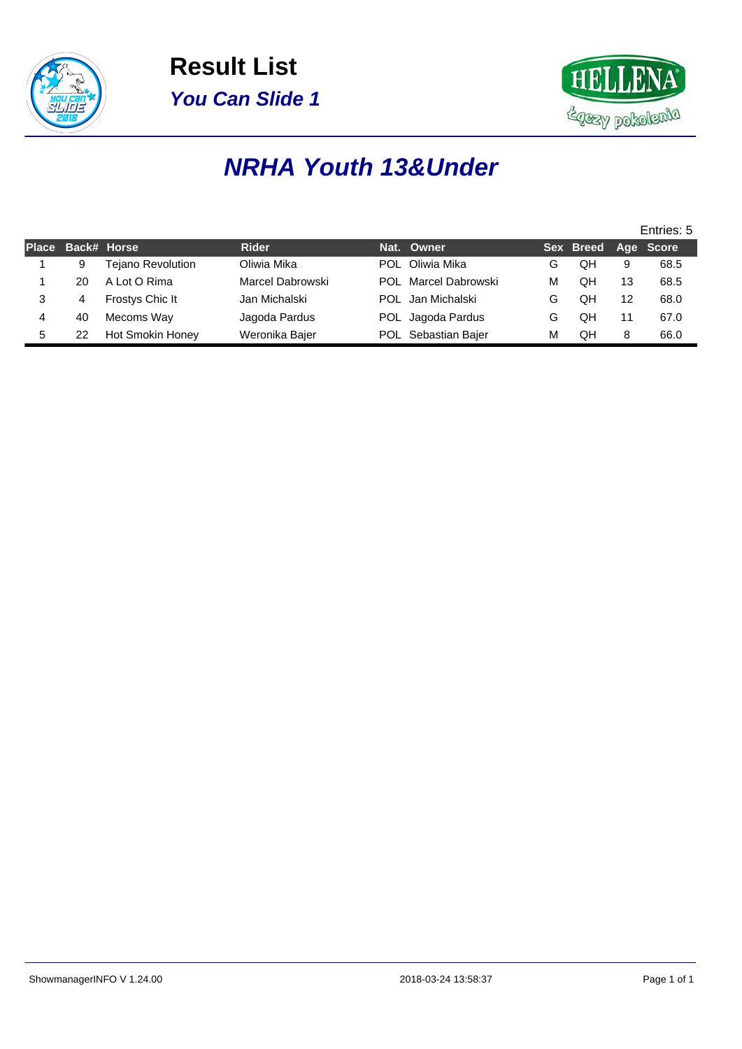



### **NRHA Youth 13&Under**

|   |    |                          |                  |            |                      |   |                     |    | Entries: 5 |
|---|----|--------------------------|------------------|------------|----------------------|---|---------------------|----|------------|
|   |    | Place Back# Horse        | <b>Rider</b>     | Nat. Owner |                      |   | Sex Breed Age Score |    |            |
|   | 9  | <b>Tejano Revolution</b> | Oliwia Mika      |            | POL Oliwia Mika      | G | QH                  | 9  | 68.5       |
|   | 20 | A Lot O Rima             | Marcel Dabrowski |            | POL Marcel Dabrowski | M | QH                  | 13 | 68.5       |
|   | 4  | Frostys Chic It          | Jan Michalski    |            | POL Jan Michalski    | G | QΗ                  | 12 | 68.0       |
|   | 40 | Mecoms Way               | Jagoda Pardus    |            | POL Jagoda Pardus    | G | QH                  |    | 67.0       |
| 5 | 22 | Hot Smokin Honey         | Weronika Bajer   |            | POL Sebastian Bajer  | м | QH                  | 8  | 66.0       |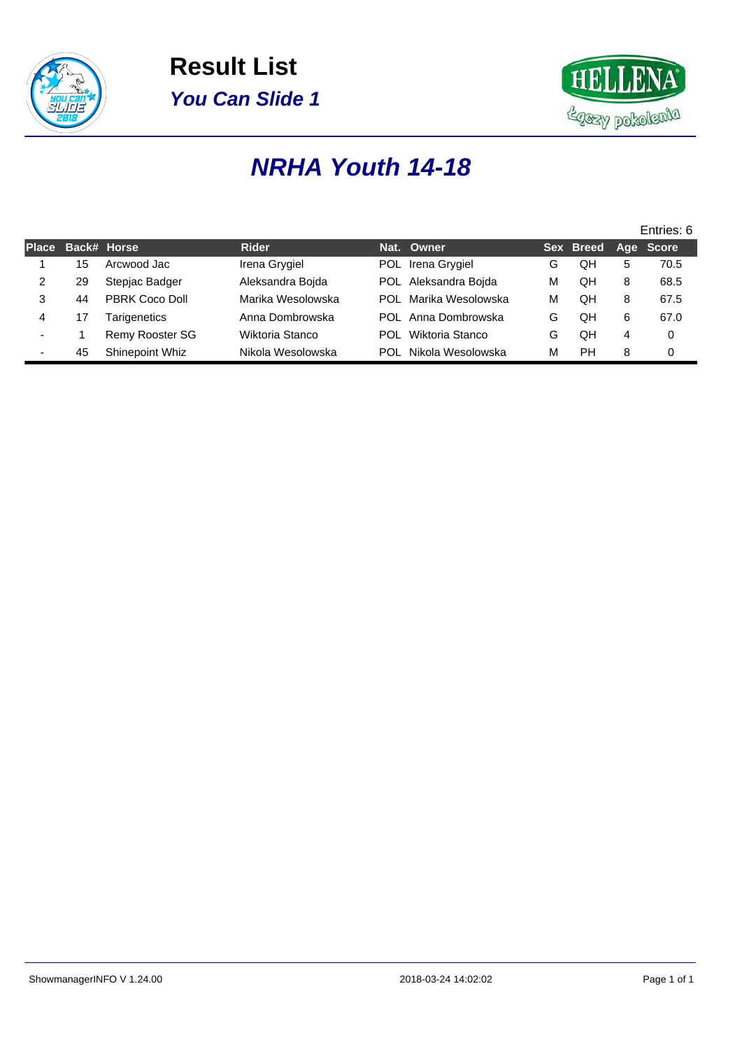



### **NRHA Youth 14-18**

|                          |    |                        |                   |     |                       |   |           |   | Entries: 6 |
|--------------------------|----|------------------------|-------------------|-----|-----------------------|---|-----------|---|------------|
| <b>Place</b>             |    | Back# Horse            | <b>Rider</b>      |     | Nat. Owner            |   | Sex Breed |   | Age Score  |
|                          | 15 | Arcwood Jac            | Irena Grygiel     |     | POL Irena Grygiel     | G | QH        | 5 | 70.5       |
| 2                        | 29 | Stepjac Badger         | Aleksandra Bojda  |     | POL Aleksandra Bojda  | м | QH        | 8 | 68.5       |
| 3                        | 44 | PBRK Coco Doll         | Marika Wesolowska |     | POL Marika Wesolowska | м | OН        | 8 | 67.5       |
| 4                        | 17 | Tarigenetics           | Anna Dombrowska   |     | POL Anna Dombrowska   | G | OΗ        | 6 | 67.0       |
| $\overline{\phantom{0}}$ |    | <b>Remy Rooster SG</b> | Wiktoria Stanco   | POL | Wiktoria Stanco       | G | QΗ        | 4 | 0          |
|                          | 45 | Shinepoint Whiz        | Nikola Wesolowska | POL | Nikola Wesolowska     | м | PH        | 8 | 0          |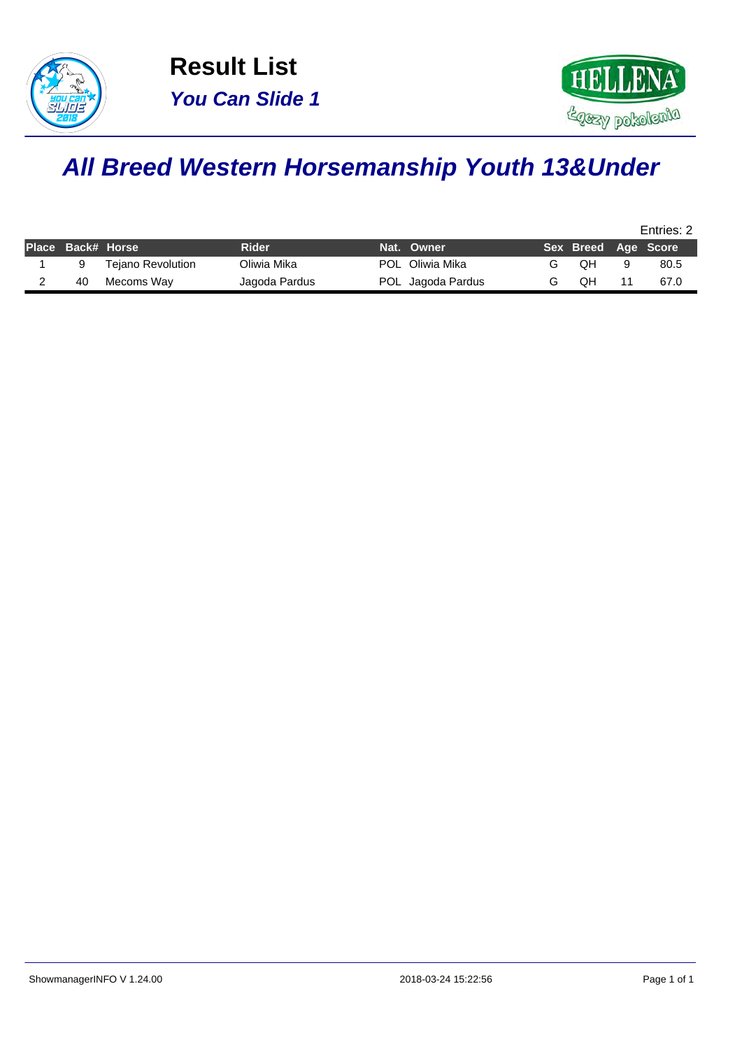



## **All Breed Western Horsemanship Youth 13&Under**

|                   |                          |               |                   |                     | Entries: 2 |
|-------------------|--------------------------|---------------|-------------------|---------------------|------------|
| Place Back# Horse |                          | Rider         | Nat. Owner        | Sex Breed Age Score |            |
|                   | <b>Tejano Revolution</b> | Oliwia Mika   | POL Oliwia Mika   | OΗ                  | 80.5       |
| 40                | Mecoms Way               | Jagoda Pardus | POL Jagoda Pardus | NО                  | 67.0       |
|                   |                          |               |                   |                     |            |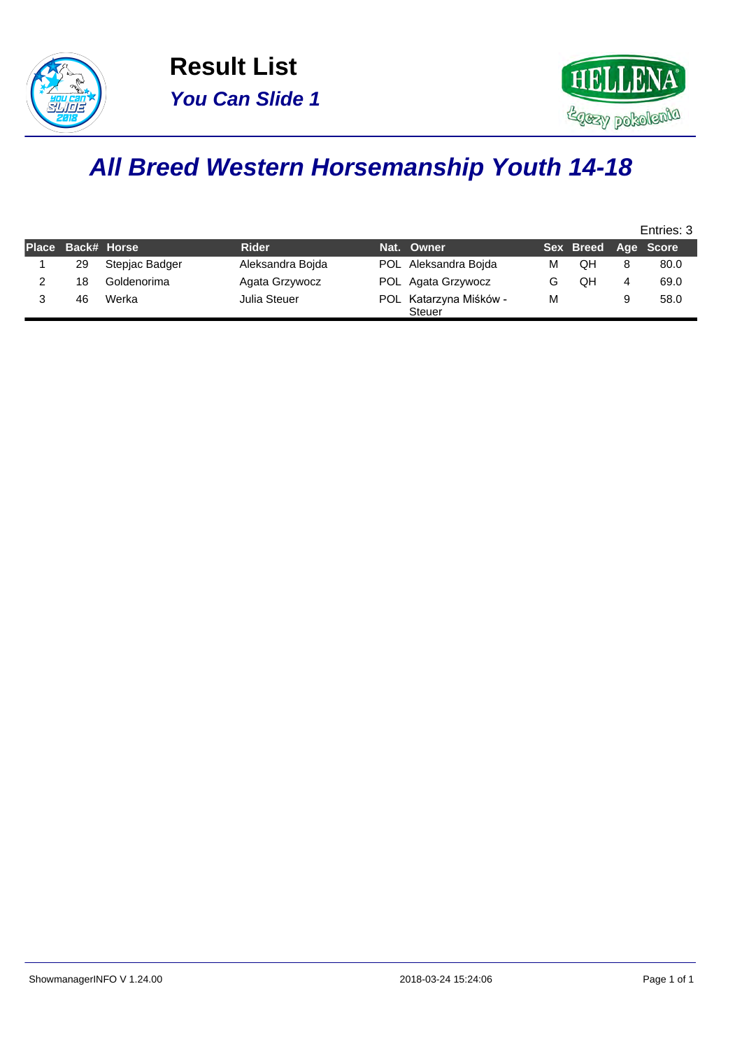



## **All Breed Western Horsemanship Youth 14-18**

|                   |                |                  |                                         |   |                     |   | Entries: 3 |
|-------------------|----------------|------------------|-----------------------------------------|---|---------------------|---|------------|
| Place Back# Horse |                | <b>Rider</b>     | Nat. Owner                              |   | Sex Breed Age Score |   |            |
| 29                | Stepjac Badger | Aleksandra Boida | POL Aleksandra Bojda                    | м | OΗ                  |   | 80.0       |
| 18                | Goldenorima    | Agata Grzywocz   | POL Agata Grzywocz                      |   | QH                  | 4 | 69.0       |
| 46                | Werka          | Julia Steuer     | POL Katarzyna Miśków -<br><b>Steuer</b> | м |                     |   | 58.0       |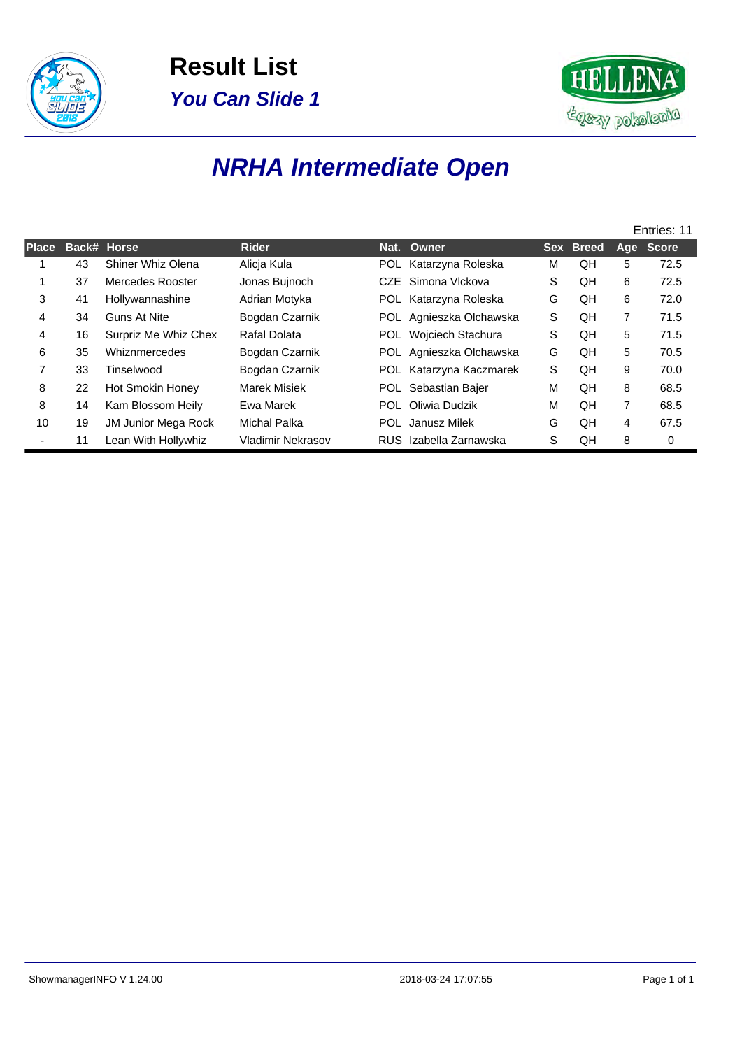



## **NRHA Intermediate Open**

|              |    |                      |                   |            |                         |   |           |   | Entries: 11 |
|--------------|----|----------------------|-------------------|------------|-------------------------|---|-----------|---|-------------|
| <b>Place</b> |    | Back# Horse          | <b>Rider</b>      |            | Nat. Owner              |   | Sex Breed |   | Age Score   |
|              | 43 | Shiner Whiz Olena    | Alicia Kula       |            | POL Katarzyna Roleska   | м | QΗ        | 5 | 72.5        |
|              | 37 | Mercedes Rooster     | Jonas Bujnoch     |            | CZE Simona Vlckova      | S | QH        | 6 | 72.5        |
| 3            | 41 | Hollywannashine      | Adrian Motyka     |            | POL Katarzyna Roleska   | G | QH        | 6 | 72.0        |
| 4            | 34 | <b>Guns At Nite</b>  | Bogdan Czarnik    |            | POL Agnieszka Olchawska | S | QH        | 7 | 71.5        |
| 4            | 16 | Surpriz Me Whiz Chex | Rafal Dolata      |            | POL Wojciech Stachura   | S | QH        | 5 | 71.5        |
| 6            | 35 | Whiznmercedes        | Bogdan Czarnik    |            | POL Agnieszka Olchawska | G | QН        | 5 | 70.5        |
| 7            | 33 | Tinselwood           | Bogdan Czarnik    |            | POL Katarzyna Kaczmarek | S | QН        | 9 | 70.0        |
| 8            | 22 | Hot Smokin Honey     | Marek Misiek      |            | POL Sebastian Bajer     | м | QН        | 8 | 68.5        |
| 8            | 14 | Kam Blossom Heily    | Ewa Marek         | <b>POL</b> | Oliwia Dudzik           | M | QH        | 7 | 68.5        |
| 10           | 19 | JM Junior Mega Rock  | Michal Palka      |            | POL Janusz Milek        | G | QН        | 4 | 67.5        |
|              | 11 | Lean With Hollywhiz  | Vladimir Nekrasov |            | RUS Izabella Zarnawska  | S | QH        | 8 | 0           |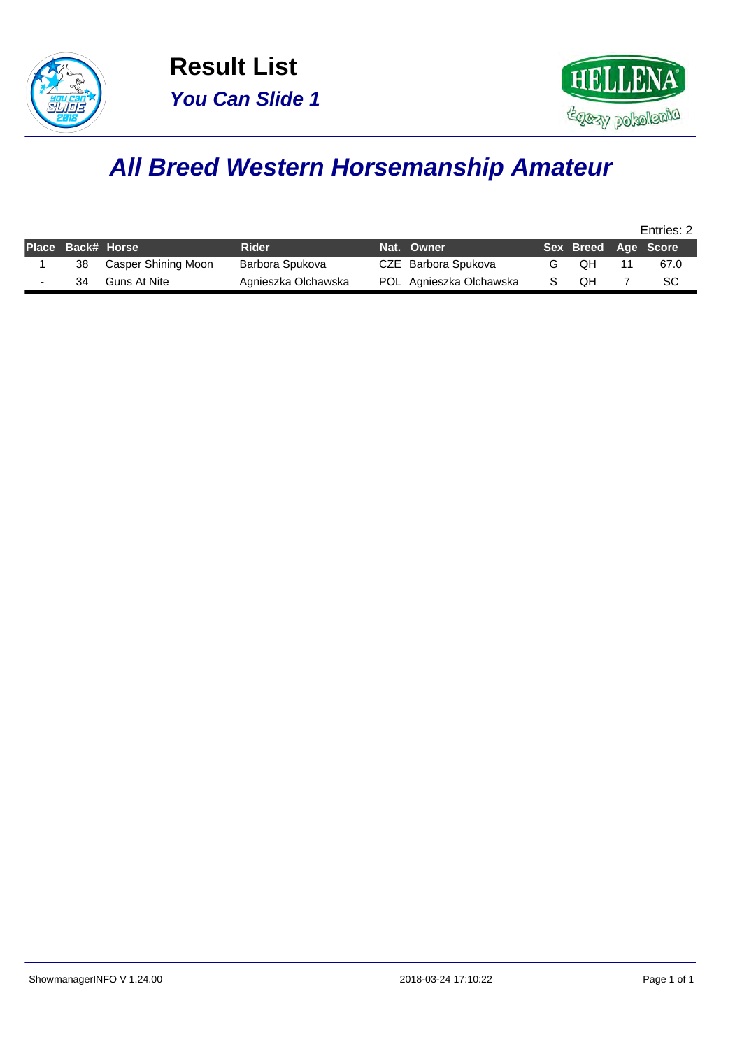



# **All Breed Western Horsemanship Amateur**

|    |                     |                     |                         |                     | Entries: 2 |
|----|---------------------|---------------------|-------------------------|---------------------|------------|
|    | Place Back# Horse   | <b>Rider</b>        | Nat. Owner              | Sex Breed Age Score |            |
| 38 | Casper Shining Moon | Barbora Spukova     | CZE Barbora Spukova     | OН                  | 67.0       |
| 34 | Guns At Nite        | Agnieszka Olchawska | POL Agnieszka Olchawska | OΗ                  | SC         |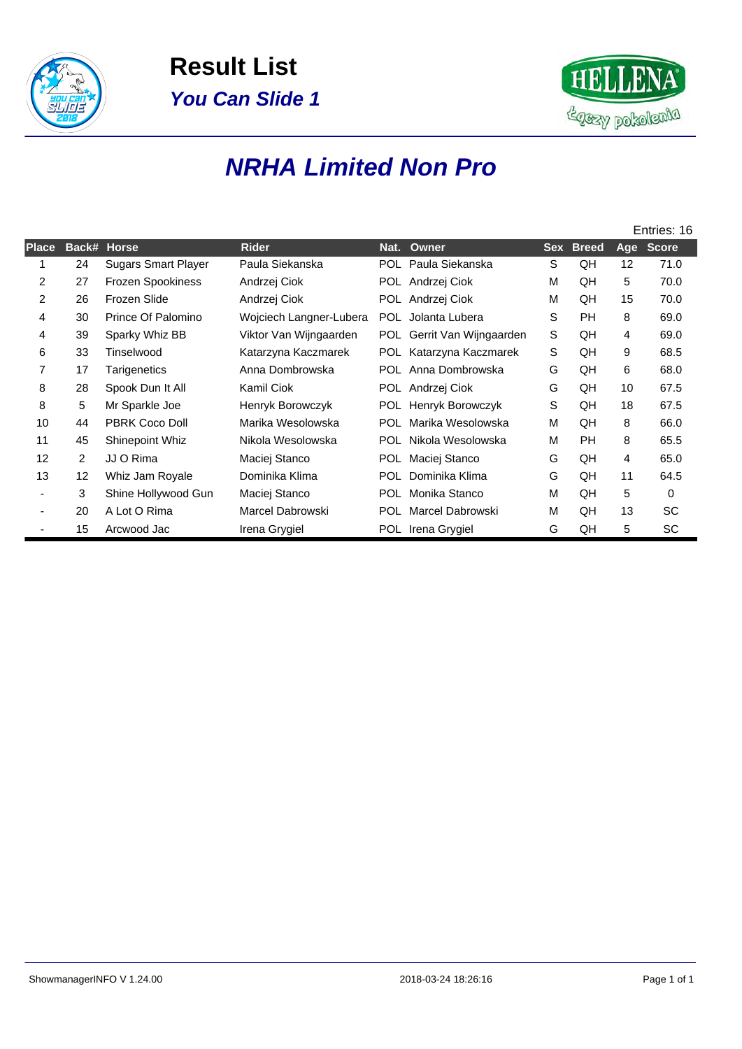



### **NRHA Limited Non Pro**

|                |                   |                            |                         |            |                         |            |              |     | Entries: 16  |
|----------------|-------------------|----------------------------|-------------------------|------------|-------------------------|------------|--------------|-----|--------------|
| <b>Place</b>   | Back#             | <b>Horse</b>               | <b>Rider</b>            | Nat.       | Owner                   | <b>Sex</b> | <b>Breed</b> | Age | <b>Score</b> |
|                | 24                | <b>Sugars Smart Player</b> | Paula Siekanska         |            | POL Paula Siekanska     | S          | QH           | 12  | 71.0         |
| $\overline{2}$ | 27                | Frozen Spookiness          | Andrzej Ciok            |            | POL Andrzej Ciok        | M          | QH           | 5   | 70.0         |
| $\overline{2}$ | 26                | Frozen Slide               | Andrzej Ciok            |            | POL Andrzej Ciok        | M          | QH           | 15  | 70.0         |
| 4              | 30                | Prince Of Palomino         | Wojciech Langner-Lubera | <b>POL</b> | Jolanta Lubera          | S          | <b>PH</b>    | 8   | 69.0         |
| 4              | 39                | Sparky Whiz BB             | Viktor Van Wijngaarden  | POL 1      | Gerrit Van Wijngaarden  | S          | QH           | 4   | 69.0         |
| 6              | 33                | Tinselwood                 | Katarzyna Kaczmarek     |            | POL Katarzyna Kaczmarek | S          | QH           | 9   | 68.5         |
| $\overline{7}$ | 17                | Tarigenetics               | Anna Dombrowska         | POL.       | Anna Dombrowska         | G          | QH           | 6   | 68.0         |
| 8              | 28                | Spook Dun It All           | Kamil Ciok              |            | POL Andrzej Ciok        | G          | QH           | 10  | 67.5         |
| 8              | 5                 | Mr Sparkle Joe             | Henryk Borowczyk        | POL        | Henryk Borowczyk        | S          | QH           | 18  | 67.5         |
| 10             | 44                | <b>PBRK Coco Doll</b>      | Marika Wesolowska       | POL.       | Marika Wesolowska       | М          | QH           | 8   | 66.0         |
| 11             | 45                | Shinepoint Whiz            | Nikola Wesolowska       | POL        | Nikola Wesolowska       | M          | PH.          | 8   | 65.5         |
| 12             | 2                 | JJ O Rima                  | Maciej Stanco           | POL.       | Maciej Stanco           | G          | QH           | 4   | 65.0         |
| 13             | $12 \overline{ }$ | Whiz Jam Royale            | Dominika Klima          | POL.       | Dominika Klima          | G          | QH           | 11  | 64.5         |
|                | 3                 | Shine Hollywood Gun        | Maciej Stanco           | <b>POL</b> | Monika Stanco           | M          | QH           | 5   | 0            |
|                | 20                | A Lot O Rima               | Marcel Dabrowski        | POL.       | Marcel Dabrowski        | М          | QH           | 13  | SC           |
|                | 15                | Arcwood Jac                | Irena Grygiel           |            | POL Irena Grygiel       | G          | QH           | 5   | SC           |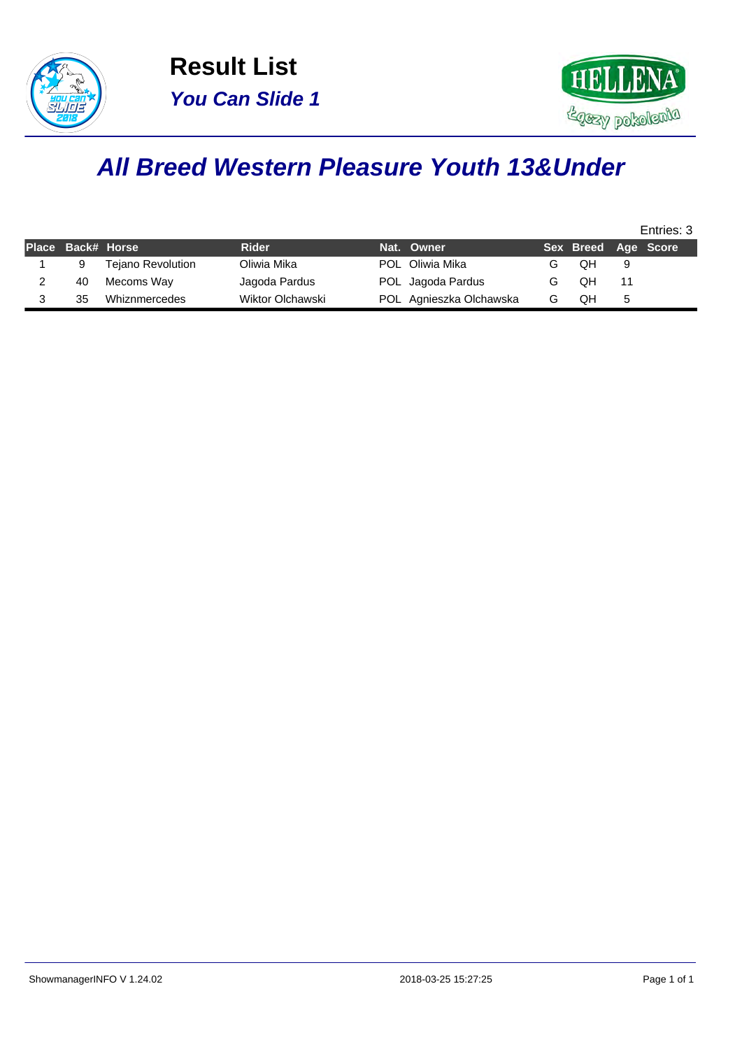



### **All Breed Western Pleasure Youth 13&Under**

|    |                          |                   |  |                                                                               |    |   | Entries: 3          |
|----|--------------------------|-------------------|--|-------------------------------------------------------------------------------|----|---|---------------------|
|    |                          | <b>Rider</b>      |  |                                                                               |    |   |                     |
|    | <b>Tejano Revolution</b> | Oliwia Mika       |  |                                                                               | OН | 9 |                     |
| 40 | Mecoms Way               | Jagoda Pardus     |  | G                                                                             | OН |   |                     |
| 35 | Whiznmercedes            | Wiktor Olchawski  |  | G                                                                             | OΗ | 5 |                     |
|    |                          | Place Back# Horse |  | Nat. Owner<br>POL Oliwia Mika<br>POL Jagoda Pardus<br>POL Agnieszka Olchawska |    |   | Sex Breed Age Score |